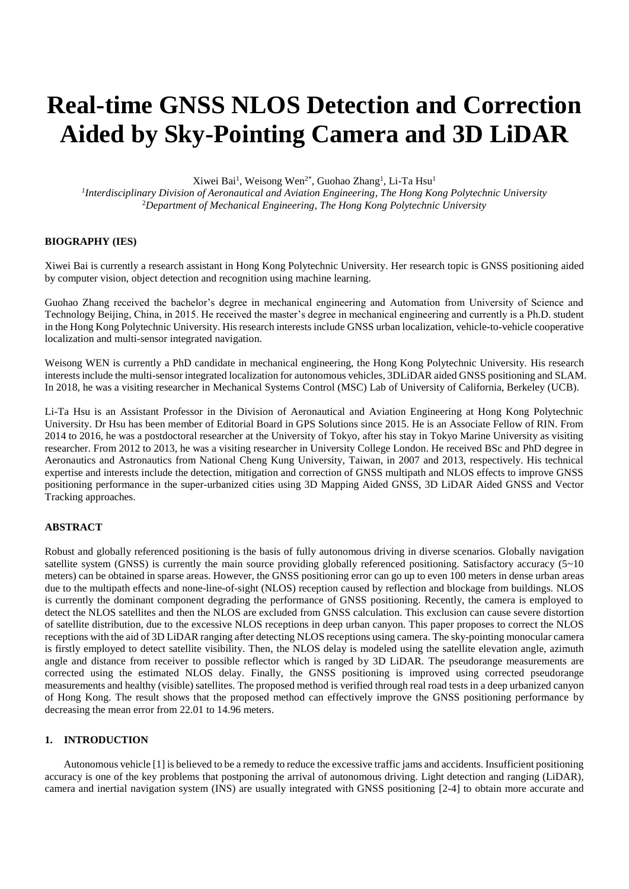# **Real-time GNSS NLOS Detection and Correction Aided by Sky-Pointing Camera and 3D LiDAR**

Xiwei Bai<sup>1</sup>, Weisong Wen<sup>2\*</sup>, Guohao Zhang<sup>1</sup>, Li-Ta Hsu<sup>1</sup>

*1 Interdisciplinary Division of Aeronautical and Aviation Engineering, The Hong Kong Polytechnic University* <sup>2</sup>*Department of Mechanical Engineering, The Hong Kong Polytechnic University*

# **BIOGRAPHY (IES)**

Xiwei Bai is currently a research assistant in Hong Kong Polytechnic University. Her research topic is GNSS positioning aided by computer vision, object detection and recognition using machine learning.

Guohao Zhang received the bachelor's degree in mechanical engineering and Automation from University of Science and Technology Beijing, China, in 2015. He received the master's degree in mechanical engineering and currently is a Ph.D. student in the Hong Kong Polytechnic University. His research interests include GNSS urban localization, vehicle-to-vehicle cooperative localization and multi-sensor integrated navigation.

Weisong WEN is currently a PhD candidate in mechanical engineering, the Hong Kong Polytechnic University. His research interests include the multi-sensor integrated localization for autonomous vehicles, 3DLiDAR aided GNSS positioning and SLAM. In 2018, he was a visiting researcher in Mechanical Systems Control (MSC) Lab of University of California, Berkeley (UCB).

Li-Ta Hsu is an Assistant Professor in the Division of Aeronautical and Aviation Engineering at Hong Kong Polytechnic University. Dr Hsu has been member of Editorial Board in GPS Solutions since 2015. He is an Associate Fellow of RIN. From 2014 to 2016, he was a postdoctoral researcher at the University of Tokyo, after his stay in Tokyo Marine University as visiting researcher. From 2012 to 2013, he was a visiting researcher in University College London. He received BSc and PhD degree in Aeronautics and Astronautics from National Cheng Kung University, Taiwan, in 2007 and 2013, respectively. His technical expertise and interests include the detection, mitigation and correction of GNSS multipath and NLOS effects to improve GNSS positioning performance in the super-urbanized cities using 3D Mapping Aided GNSS, 3D LiDAR Aided GNSS and Vector Tracking approaches.

# **ABSTRACT**

Robust and globally referenced positioning is the basis of fully autonomous driving in diverse scenarios. Globally navigation satellite system (GNSS) is currently the main source providing globally referenced positioning. Satisfactory accuracy (5~10) meters) can be obtained in sparse areas. However, the GNSS positioning error can go up to even 100 meters in dense urban areas due to the multipath effects and none-line-of-sight (NLOS) reception caused by reflection and blockage from buildings. NLOS is currently the dominant component degrading the performance of GNSS positioning. Recently, the camera is employed to detect the NLOS satellites and then the NLOS are excluded from GNSS calculation. This exclusion can cause severe distortion of satellite distribution, due to the excessive NLOS receptions in deep urban canyon. This paper proposes to correct the NLOS receptions with the aid of 3D LiDAR ranging after detecting NLOS receptions using camera. The sky-pointing monocular camera is firstly employed to detect satellite visibility. Then, the NLOS delay is modeled using the satellite elevation angle, azimuth angle and distance from receiver to possible reflector which is ranged by 3D LiDAR. The pseudorange measurements are corrected using the estimated NLOS delay. Finally, the GNSS positioning is improved using corrected pseudorange measurements and healthy (visible) satellites. The proposed method is verified through real road tests in a deep urbanized canyon of Hong Kong. The result shows that the proposed method can effectively improve the GNSS positioning performance by decreasing the mean error from 22.01 to 14.96 meters.

## **1. INTRODUCTION**

Autonomous vehicle [\[1\]](#page-10-0) is believed to be a remedy to reduce the excessive traffic jams and accidents. Insufficient positioning accuracy is one of the key problems that postponing the arrival of autonomous driving. Light detection and ranging (LiDAR), camera and inertial navigation system (INS) are usually integrated with GNSS positioning [\[2-4\]](#page-10-1) to obtain more accurate and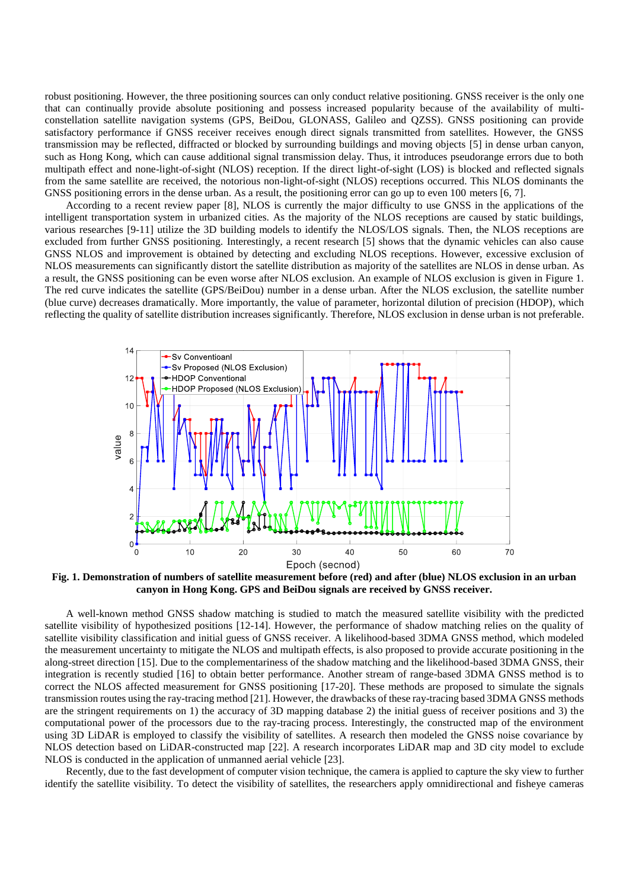robust positioning. However, the three positioning sources can only conduct relative positioning. GNSS receiver is the only one that can continually provide absolute positioning and possess increased popularity because of the availability of multiconstellation satellite navigation systems (GPS, BeiDou, GLONASS, Galileo and QZSS). GNSS positioning can provide satisfactory performance if GNSS receiver receives enough direct signals transmitted from satellites. However, the GNSS transmission may be reflected, diffracted or blocked by surrounding buildings and moving objects [\[5\]](#page-11-0) in dense urban canyon, such as Hong Kong, which can cause additional signal transmission delay. Thus, it introduces pseudorange errors due to both multipath effect and none-light-of-sight (NLOS) reception. If the direct light-of-sight (LOS) is blocked and reflected signals from the same satellite are received, the notorious non-light-of-sight (NLOS) receptions occurred. This NLOS dominants the GNSS positioning errors in the dense urban. As a result, the positioning error can go up to even 100 meters [\[6,](#page-11-1) [7\]](#page-11-2).

According to a recent review paper [\[8\]](#page-11-3), NLOS is currently the major difficulty to use GNSS in the applications of the intelligent transportation system in urbanized cities. As the majority of the NLOS receptions are caused by static buildings, various researches [\[9-11\]](#page-11-4) utilize the 3D building models to identify the NLOS/LOS signals. Then, the NLOS receptions are excluded from further GNSS positioning. Interestingly, a recent research [\[5\]](#page-11-0) shows that the dynamic vehicles can also cause GNSS NLOS and improvement is obtained by detecting and excluding NLOS receptions. However, excessive exclusion of NLOS measurements can significantly distort the satellite distribution as majority of the satellites are NLOS in dense urban. As a result, the GNSS positioning can be even worse after NLOS exclusion. An example of NLOS exclusion is given in Figure 1. The red curve indicates the satellite (GPS/BeiDou) number in a dense urban. After the NLOS exclusion, the satellite number (blue curve) decreases dramatically. More importantly, the value of parameter, horizontal dilution of precision (HDOP), which reflecting the quality of satellite distribution increases significantly. Therefore, NLOS exclusion in dense urban is not preferable.



**Fig. 1. Demonstration of numbers of satellite measurement before (red) and after (blue) NLOS exclusion in an urban canyon in Hong Kong. GPS and BeiDou signals are received by GNSS receiver.**

A well-known method GNSS shadow matching is studied to match the measured satellite visibility with the predicted satellite visibility of hypothesized positions [\[12-14\]](#page-11-5). However, the performance of shadow matching relies on the quality of satellite visibility classification and initial guess of GNSS receiver. A likelihood-based 3DMA GNSS method, which modeled the measurement uncertainty to mitigate the NLOS and multipath effects, is also proposed to provide accurate positioning in the along-street direction [\[15\]](#page-11-6). Due to the complementariness of the shadow matching and the likelihood-based 3DMA GNSS, their integration is recently studied [\[16\]](#page-11-7) to obtain better performance. Another stream of range-based 3DMA GNSS method is to correct the NLOS affected measurement for GNSS positioning [\[17-20\]](#page-11-8). These methods are proposed to simulate the signals transmission routes using the ray-tracing method [\[21\]](#page-11-9). However, the drawbacks of these ray-tracing based 3DMA GNSS methods are the stringent requirements on 1) the accuracy of 3D mapping database 2) the initial guess of receiver positions and 3) the computational power of the processors due to the ray-tracing process. Interestingly, the constructed map of the environment using 3D LiDAR is employed to classify the visibility of satellites. A research then modeled the GNSS noise covariance by NLOS detection based on LiDAR-constructed map [\[22\]](#page-11-10). A research incorporates LiDAR map and 3D city model to exclude NLOS is conducted in the application of unmanned aerial vehicle [\[23\]](#page-11-11).

Recently, due to the fast development of computer vision technique, the camera is applied to capture the sky view to further identify the satellite visibility. To detect the visibility of satellites, the researchers apply omnidirectional and fisheye cameras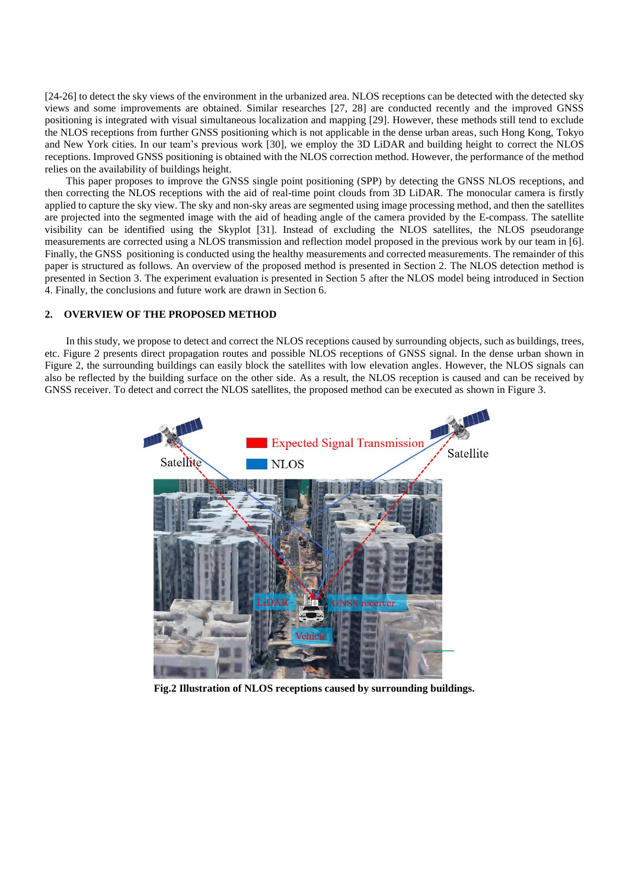[\[24-26\]](#page-11-12) to detect the sky views of the environment in the urbanized area. NLOS receptions can be detected with the detected sky views and some improvements are obtained. Similar researches [\[27,](#page-11-13) [28\]](#page-11-14) are conducted recently and the improved GNSS positioning is integrated with visual simultaneous localization and mapping [\[29\]](#page-11-15). However, these methods still tend to exclude the NLOS receptions from further GNSS positioning which is not applicable in the dense urban areas, such Hong Kong, Tokyo and New York cities. In our team's previous work [\[30\]](#page-11-16), we employ the 3D LiDAR and building height to correct the NLOS receptions. Improved GNSS positioning is obtained with the NLOS correction method. However, the performance of the method relies on the availability of buildings height.

This paper proposes to improve the GNSS single point positioning (SPP) by detecting the GNSS NLOS receptions, and then correcting the NLOS receptions with the aid of real-time point clouds from 3D LiDAR. The monocular camera is firstly applied to capture the sky view. The sky and non-sky areas are segmented using image processing method, and then the satellites are projected into the segmented image with the aid of heading angle of the camera provided by the E-compass. The satellite visibility can be identified using the Skyplot [\[31\]](#page-11-17). Instead of excluding the NLOS satellites, the NLOS pseudorange measurements are corrected using a NLOS transmission and reflection model proposed in the previous work by our team in [\[6\]](#page-11-1). Finally, the GNSS positioning is conducted using the healthy measurements and corrected measurements. The remainder of this paper is structured as follows. An overview of the proposed method is presented in Section 2. The NLOS detection method is presented in Section 3. The experiment evaluation is presented in Section 5 after the NLOS model being introduced in Section 4. Finally, the conclusions and future work are drawn in Section 6.

## **2. OVERVIEW OF THE PROPOSED METHOD**

In this study, we propose to detect and correct the NLOS receptions caused by surrounding objects, such as buildings, trees, etc. Figure 2 presents direct propagation routes and possible NLOS receptions of GNSS signal. In the dense urban shown in Figure 2, the surrounding buildings can easily block the satellites with low elevation angles. However, the NLOS signals can also be reflected by the building surface on the other side. As a result, the NLOS reception is caused and can be received by GNSS receiver. To detect and correct the NLOS satellites, the proposed method can be executed as shown in Figure 3.



**Fig.2 Illustration of NLOS receptions caused by surrounding buildings.**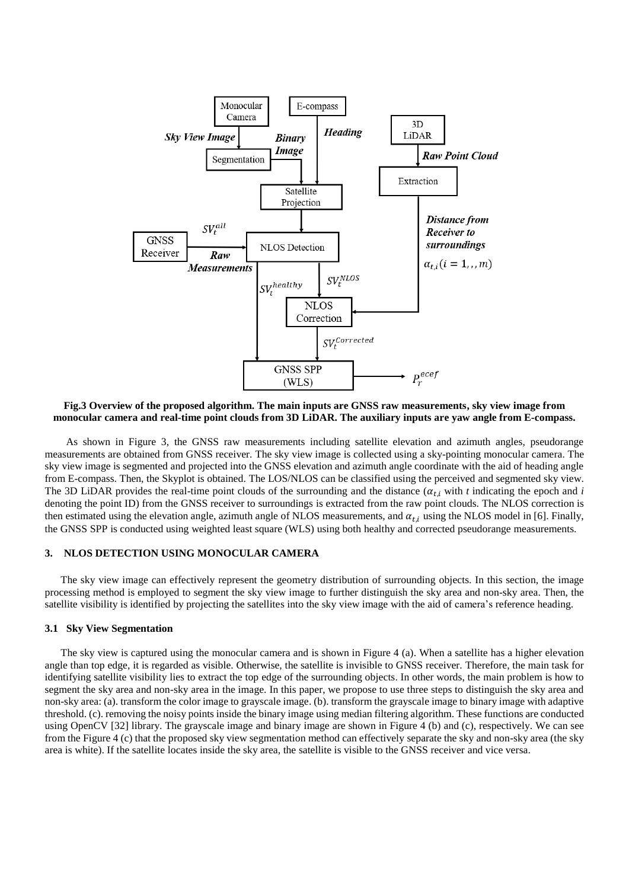

**Fig.3 Overview of the proposed algorithm. The main inputs are GNSS raw measurements, sky view image from monocular camera and real-time point clouds from 3D LiDAR. The auxiliary inputs are yaw angle from E-compass.**

As shown in Figure 3, the GNSS raw measurements including satellite elevation and azimuth angles, pseudorange measurements are obtained from GNSS receiver. The sky view image is collected using a sky-pointing monocular camera. The sky view image is segmented and projected into the GNSS elevation and azimuth angle coordinate with the aid of heading angle from E-compass. Then, the Skyplot is obtained. The LOS/NLOS can be classified using the perceived and segmented sky view. The 3D LiDAR provides the real-time point clouds of the surrounding and the distance  $(\alpha_{t,i}$  with *t* indicating the epoch and *i* denoting the point ID) from the GNSS receiver to surroundings is extracted from the raw point clouds. The NLOS correction is then estimated using the elevation angle, azimuth angle of NLOS measurements, and  $\alpha_{t,i}$  using the NLOS model in [\[6\]](#page-11-1). Finally, the GNSS SPP is conducted using weighted least square (WLS) using both healthy and corrected pseudorange measurements.

## **3. NLOS DETECTION USING MONOCULAR CAMERA**

The sky view image can effectively represent the geometry distribution of surrounding objects. In this section, the image processing method is employed to segment the sky view image to further distinguish the sky area and non-sky area. Then, the satellite visibility is identified by projecting the satellites into the sky view image with the aid of camera's reference heading.

# **3.1 Sky View Segmentation**

The sky view is captured using the monocular camera and is shown in Figure 4 (a). When a satellite has a higher elevation angle than top edge, it is regarded as visible. Otherwise, the satellite is invisible to GNSS receiver. Therefore, the main task for identifying satellite visibility lies to extract the top edge of the surrounding objects. In other words, the main problem is how to segment the sky area and non-sky area in the image. In this paper, we propose to use three steps to distinguish the sky area and non-sky area: (a). transform the color image to grayscale image. (b). transform the grayscale image to binary image with adaptive threshold. (c). removing the noisy points inside the binary image using median filtering algorithm. These functions are conducted using OpenCV [\[32\]](#page-12-0) library. The grayscale image and binary image are shown in Figure 4 (b) and (c), respectively. We can see from the Figure 4 (c) that the proposed sky view segmentation method can effectively separate the sky and non-sky area (the sky area is white). If the satellite locates inside the sky area, the satellite is visible to the GNSS receiver and vice versa.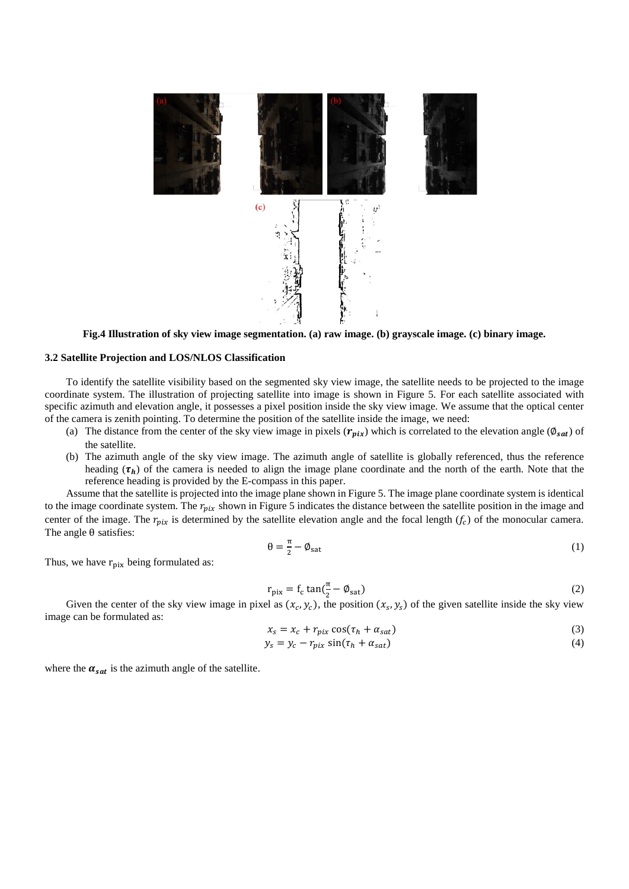

**Fig.4 Illustration of sky view image segmentation. (a) raw image. (b) grayscale image. (c) binary image.**

#### **3.2 Satellite Projection and LOS/NLOS Classification**

To identify the satellite visibility based on the segmented sky view image, the satellite needs to be projected to the image coordinate system. The illustration of projecting satellite into image is shown in Figure 5. For each satellite associated with specific azimuth and elevation angle, it possesses a pixel position inside the sky view image. We assume that the optical center of the camera is zenith pointing. To determine the position of the satellite inside the image, we need:

- (a) The distance from the center of the sky view image in pixels  $(r_{pix})$  which is correlated to the elevation angle  $(\phi_{sat})$  of the satellite.
- (b) The azimuth angle of the sky view image. The azimuth angle of satellite is globally referenced, thus the reference heading  $(\tau_h)$  of the camera is needed to align the image plane coordinate and the north of the earth. Note that the reference heading is provided by the E-compass in this paper.

Assume that the satellite is projected into the image plane shown in Figure 5. The image plane coordinate system is identical to the image coordinate system. The  $r_{pix}$  shown in Figure 5 indicates the distance between the satellite position in the image and center of the image. The  $r_{pix}$  is determined by the satellite elevation angle and the focal length  $(f_c)$  of the monocular camera. The angle θ satisfies:

$$
\theta = \frac{\pi}{2} - \phi_{\text{sat}} \tag{1}
$$

Thus, we have  $r_{\text{pix}}$  being formulated as:

$$
r_{\text{pix}} = f_c \tan(\frac{\pi}{2} - \phi_{\text{sat}})
$$
 (2)

Given the center of the sky view image in pixel as  $(x_c, y_c)$ , the position  $(x_s, y_s)$  of the given satellite inside the sky view image can be formulated as:

$$
x_s = x_c + r_{pix} \cos(\tau_h + \alpha_{sat})
$$
\n(3)

$$
y_s = y_c - r_{pix} \sin(\tau_h + \alpha_{sat})
$$
\n(4)

where the  $\alpha_{sat}$  is the azimuth angle of the satellite.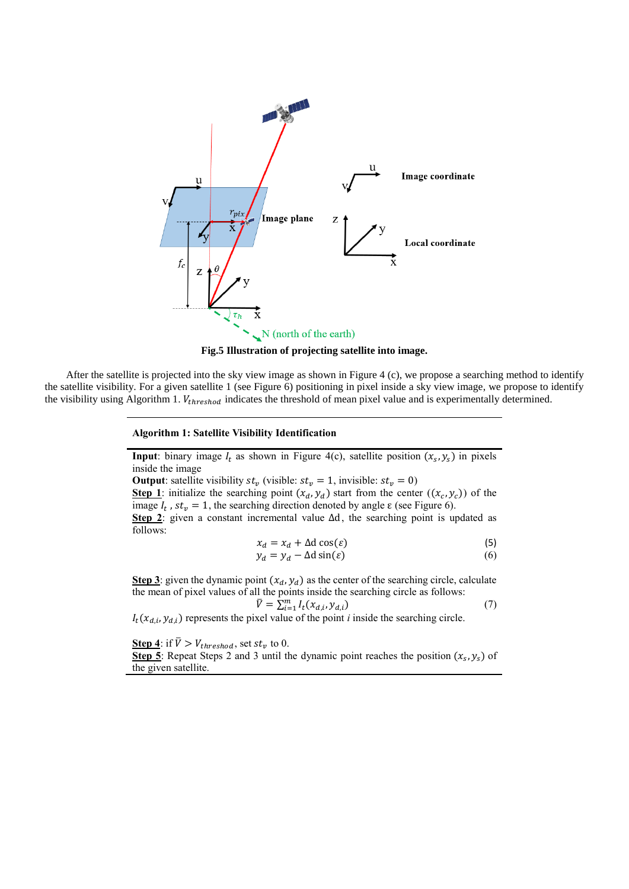

**Fig.5 Illustration of projecting satellite into image.**

After the satellite is projected into the sky view image as shown in Figure 4 (c), we propose a searching method to identify the satellite visibility. For a given satellite 1 (see Figure 6) positioning in pixel inside a sky view image, we propose to identify the visibility using Algorithm 1.  $V_{threshold}$  indicates the threshold of mean pixel value and is experimentally determined.

## **Algorithm 1: Satellite Visibility Identification**

**Input**: binary image  $I_t$  as shown in Figure 4(c), satellite position  $(x_s, y_s)$  in pixels inside the image

**Output**: satellite visibility  $st_v$  (visible:  $st_v = 1$ , invisible:  $st_v = 0$ )

**Step 1**: initialize the searching point  $(x_d, y_d)$  start from the center  $((x_c, y_c))$  of the image  $I_t$ ,  $st_v = 1$ , the searching direction denoted by angle  $\varepsilon$  (see Figure 6).

**Step 2**: given a constant incremental value  $\Delta d$ , the searching point is updated as follows:

$$
x_d = x_d + \Delta \, \cos(\varepsilon) \tag{5}
$$

$$
y_d = y_d - \Delta \operatorname{d} \sin(\varepsilon) \tag{6}
$$

**Step 3**: given the dynamic point  $(x_d, y_d)$  as the center of the searching circle, calculate the mean of pixel values of all the points inside the searching circle as follows:  $\bar{V} = \sum_{i=1}^{m} I_t(x_{d,i}, y_{d,i})$ (7)

 $I_t(x_{d,i}, y_{d,i})$  represents the pixel value of the point *i* inside the searching circle.

**Step 4**: if  $\bar{V} > V_{threshold}$ , set  $st_v$  to 0.

**Step 5**: Repeat Steps 2 and 3 until the dynamic point reaches the position  $(x_s, y_s)$  of the given satellite.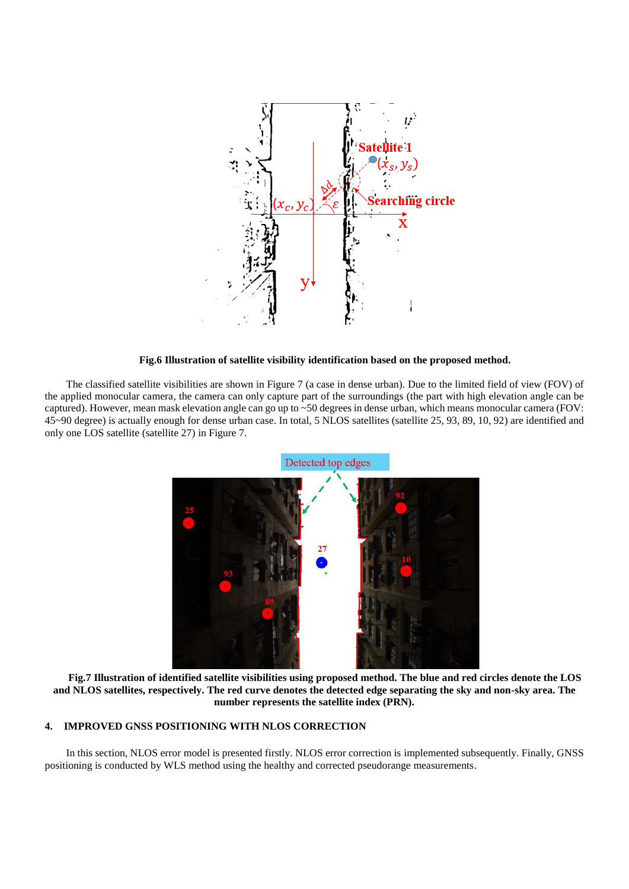

**Fig.6 Illustration of satellite visibility identification based on the proposed method.**

The classified satellite visibilities are shown in Figure 7 (a case in dense urban). Due to the limited field of view (FOV) of the applied monocular camera, the camera can only capture part of the surroundings (the part with high elevation angle can be captured). However, mean mask elevation angle can go up to ~50 degrees in dense urban, which means monocular camera (FOV: 45~90 degree) is actually enough for dense urban case. In total, 5 NLOS satellites (satellite 25, 93, 89, 10, 92) are identified and only one LOS satellite (satellite 27) in Figure 7.



**Fig.7 Illustration of identified satellite visibilities using proposed method. The blue and red circles denote the LOS and NLOS satellites, respectively. The red curve denotes the detected edge separating the sky and non-sky area. The number represents the satellite index (PRN).**

# **4. IMPROVED GNSS POSITIONING WITH NLOS CORRECTION**

In this section, NLOS error model is presented firstly. NLOS error correction is implemented subsequently. Finally, GNSS positioning is conducted by WLS method using the healthy and corrected pseudorange measurements.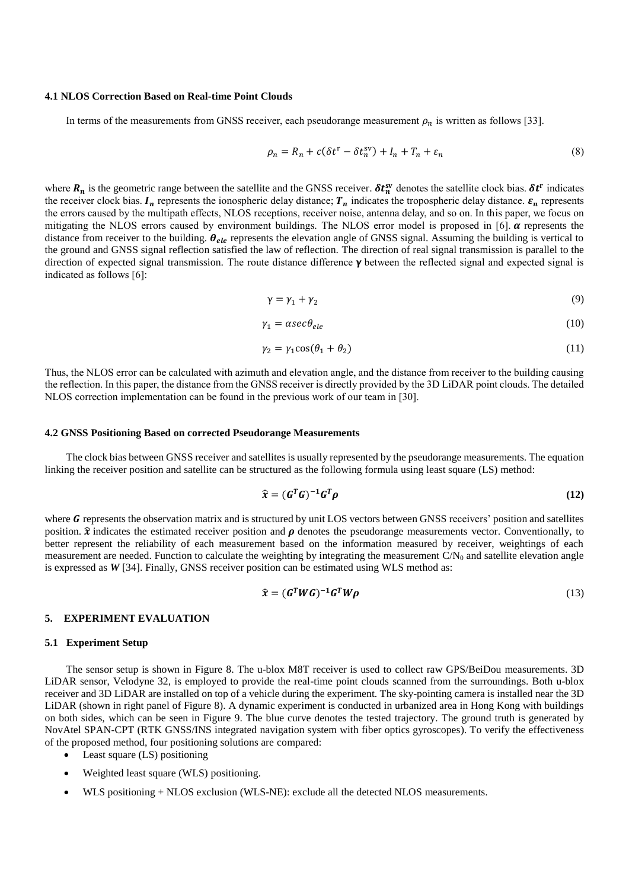#### **4.1 NLOS Correction Based on Real-time Point Clouds**

In terms of the measurements from GNSS receiver, each pseudorange measurement  $\rho_n$  is written as follows [\[33\]](#page-12-1).

$$
\rho_n = R_n + c(\delta t^r - \delta t_n^{sv}) + I_n + T_n + \varepsilon_n \tag{8}
$$

where  $R_n$  is the geometric range between the satellite and the GNSS receiver.  $\delta t_n^{sv}$  denotes the satellite clock bias.  $\delta t^r$  indicates the receiver clock bias.  $I_n$  represents the ionospheric delay distance;  $T_n$  indicates the tropospheric delay distance.  $\varepsilon_n$  represents the errors caused by the multipath effects, NLOS receptions, receiver noise, antenna delay, and so on. In this paper, we focus on mitigating the NLOS errors caused by environment buildings. The NLOS error model is proposed in [\[6\]](#page-11-1).  $\alpha$  represents the distance from receiver to the building.  $\theta_{ele}$  represents the elevation angle of GNSS signal. Assuming the building is vertical to the ground and GNSS signal reflection satisfied the law of reflection. The direction of real signal transmission is parallel to the direction of expected signal transmission. The route distance difference  $\gamma$  between the reflected signal and expected signal is indicated as follows [\[6\]](#page-11-1):

$$
\gamma = \gamma_1 + \gamma_2 \tag{9}
$$

$$
\gamma_1 = \alpha \sec \theta_{ele} \tag{10}
$$

$$
\gamma_2 = \gamma_1 \cos(\theta_1 + \theta_2) \tag{11}
$$

Thus, the NLOS error can be calculated with azimuth and elevation angle, and the distance from receiver to the building causing the reflection. In this paper, the distance from the GNSS receiver is directly provided by the 3D LiDAR point clouds. The detailed NLOS correction implementation can be found in the previous work of our team in [\[30\]](#page-11-16).

#### **4.2 GNSS Positioning Based on corrected Pseudorange Measurements**

The clock bias between GNSS receiver and satellites is usually represented by the pseudorange measurements. The equation linking the receiver position and satellite can be structured as the following formula using least square (LS) method:

$$
\widehat{\mathbf{x}} = (\mathbf{G}^T \mathbf{G})^{-1} \mathbf{G}^T \boldsymbol{\rho} \tag{12}
$$

where  *represents the observation matrix and is structured by unit LOS vectors between GNSS receivers' position and satellites* position.  $\hat{x}$  indicates the estimated receiver position and  $\rho$  denotes the pseudorange measurements vector. Conventionally, to better represent the reliability of each measurement based on the information measured by receiver, weightings of each measurement are needed. Function to calculate the weighting by integrating the measurement  $C/N_0$  and satellite elevation angle is expressed as *W* [\[34\]](#page-12-2). Finally, GNSS receiver position can be estimated using WLS method as:

$$
\widehat{\mathbf{x}} = (\mathbf{G}^T W \mathbf{G})^{-1} \mathbf{G}^T W \rho \tag{13}
$$

# **5. EXPERIMENT EVALUATION**

## **5.1 Experiment Setup**

The sensor setup is shown in Figure 8. The u-blox M8T receiver is used to collect raw GPS/BeiDou measurements. 3D LiDAR sensor, Velodyne 32, is employed to provide the real-time point clouds scanned from the surroundings. Both u-blox receiver and 3D LiDAR are installed on top of a vehicle during the experiment. The sky-pointing camera is installed near the 3D LiDAR (shown in right panel of Figure 8). A dynamic experiment is conducted in urbanized area in Hong Kong with buildings on both sides, which can be seen in Figure 9. The blue curve denotes the tested trajectory. The ground truth is generated by NovAtel SPAN-CPT (RTK GNSS/INS integrated navigation system with fiber optics gyroscopes). To verify the effectiveness of the proposed method, four positioning solutions are compared:

- Least square (LS) positioning
- Weighted least square (WLS) positioning.
- WLS positioning + NLOS exclusion (WLS-NE): exclude all the detected NLOS measurements.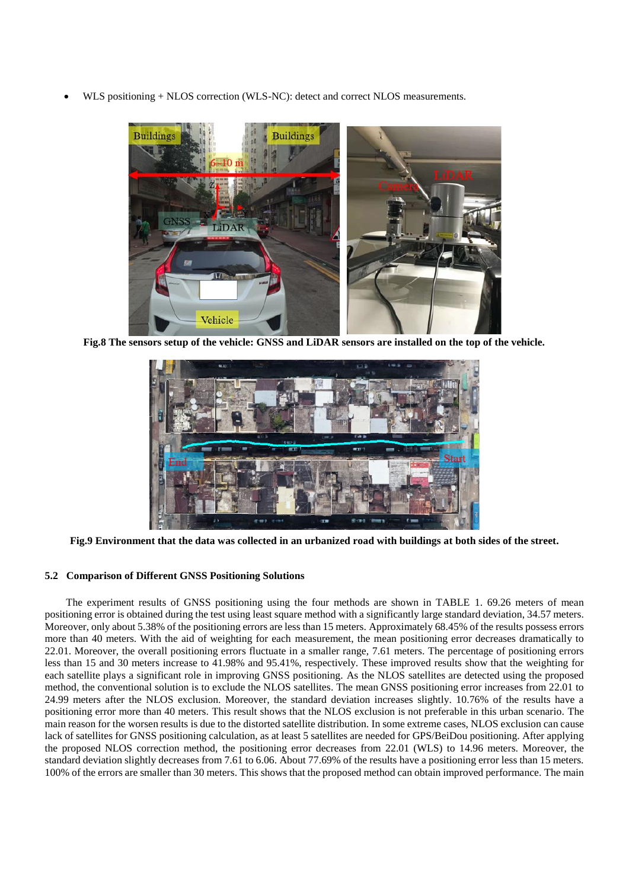• WLS positioning + NLOS correction (WLS-NC): detect and correct NLOS measurements.



**Fig.8 The sensors setup of the vehicle: GNSS and LiDAR sensors are installed on the top of the vehicle.**



**Fig.9 Environment that the data was collected in an urbanized road with buildings at both sides of the street.**

# **5.2 Comparison of Different GNSS Positioning Solutions**

The experiment results of GNSS positioning using the four methods are shown in TABLE 1. 69.26 meters of mean positioning error is obtained during the test using least square method with a significantly large standard deviation, 34.57 meters. Moreover, only about 5.38% of the positioning errors are less than 15 meters. Approximately 68.45% of the results possess errors more than 40 meters. With the aid of weighting for each measurement, the mean positioning error decreases dramatically to 22.01. Moreover, the overall positioning errors fluctuate in a smaller range, 7.61 meters. The percentage of positioning errors less than 15 and 30 meters increase to 41.98% and 95.41%, respectively. These improved results show that the weighting for each satellite plays a significant role in improving GNSS positioning. As the NLOS satellites are detected using the proposed method, the conventional solution is to exclude the NLOS satellites. The mean GNSS positioning error increases from 22.01 to 24.99 meters after the NLOS exclusion. Moreover, the standard deviation increases slightly. 10.76% of the results have a positioning error more than 40 meters. This result shows that the NLOS exclusion is not preferable in this urban scenario. The main reason for the worsen results is due to the distorted satellite distribution. In some extreme cases, NLOS exclusion can cause lack of satellites for GNSS positioning calculation, as at least 5 satellites are needed for GPS/BeiDou positioning. After applying the proposed NLOS correction method, the positioning error decreases from 22.01 (WLS) to 14.96 meters. Moreover, the standard deviation slightly decreases from 7.61 to 6.06. About 77.69% of the results have a positioning error less than 15 meters. 100% of the errors are smaller than 30 meters. This shows that the proposed method can obtain improved performance. The main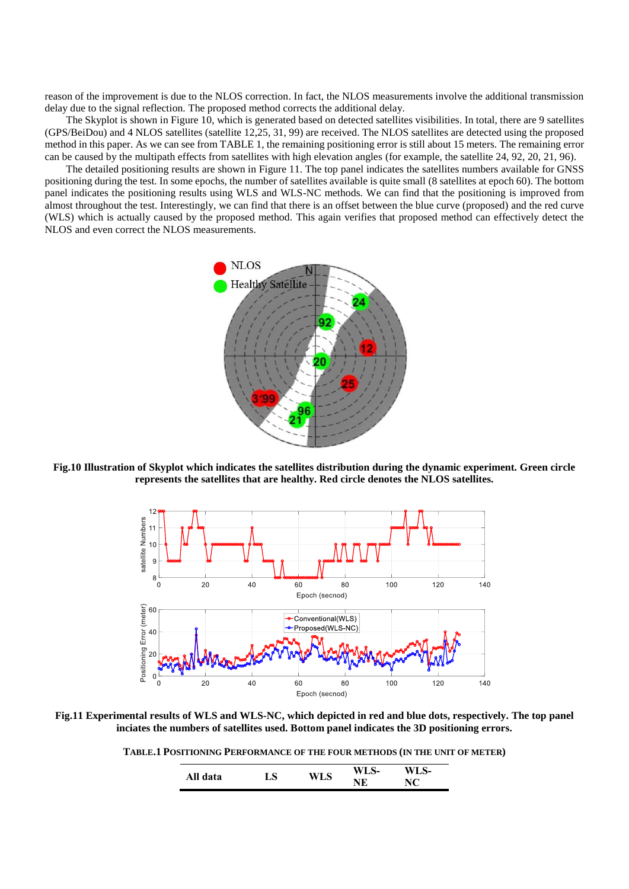reason of the improvement is due to the NLOS correction. In fact, the NLOS measurements involve the additional transmission delay due to the signal reflection. The proposed method corrects the additional delay.

The Skyplot is shown in Figure 10, which is generated based on detected satellites visibilities. In total, there are 9 satellites (GPS/BeiDou) and 4 NLOS satellites (satellite 12,25, 31, 99) are received. The NLOS satellites are detected using the proposed method in this paper. As we can see from TABLE 1, the remaining positioning error is still about 15 meters. The remaining error can be caused by the multipath effects from satellites with high elevation angles (for example, the satellite 24, 92, 20, 21, 96).

The detailed positioning results are shown in Figure 11. The top panel indicates the satellites numbers available for GNSS positioning during the test. In some epochs, the number of satellites available is quite small (8 satellites at epoch 60). The bottom panel indicates the positioning results using WLS and WLS-NC methods. We can find that the positioning is improved from almost throughout the test. Interestingly, we can find that there is an offset between the blue curve (proposed) and the red curve (WLS) which is actually caused by the proposed method. This again verifies that proposed method can effectively detect the NLOS and even correct the NLOS measurements.



**Fig.10 Illustration of Skyplot which indicates the satellites distribution during the dynamic experiment. Green circle represents the satellites that are healthy. Red circle denotes the NLOS satellites.** 



**Fig.11 Experimental results of WLS and WLS-NC, which depicted in red and blue dots, respectively. The top panel inciates the numbers of satellites used. Bottom panel indicates the 3D positioning errors.**

**TABLE.1 POSITIONING PERFORMANCE OF THE FOUR METHODS (IN THE UNIT OF METER)**

| All data | $\mathbf{S}$ | <b>***</b> | WI<br>. ப0- | LS- |  |
|----------|--------------|------------|-------------|-----|--|
|          |              |            | ŦЮ<br>L     | ╰   |  |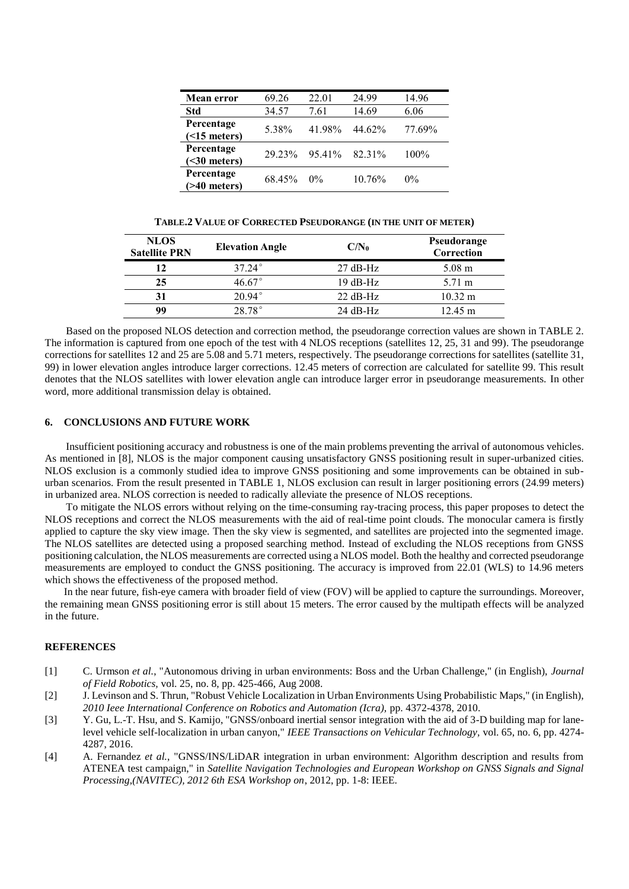| <b>Mean error</b>                | 69.26  | 22.01  | 24.99  | 14.96  |
|----------------------------------|--------|--------|--------|--------|
| Std                              | 34.57  | 7.61   | 14.69  | 6.06   |
| Percentage<br>(                  | 5.38%  | 41.98% | 44.62% | 77.69% |
| Percentage<br>$(30 meters)$      | 29.23% | 95.41% | 82.31% | 100%   |
| Percentage<br>$($ >40 meters $)$ | 68.45% | $0\%$  | 10.76% | $0\%$  |

**TABLE.2 VALUE OF CORRECTED PSEUDORANGE (IN THE UNIT OF METER)**

| <b>NLOS</b><br><b>Satellite PRN</b> | <b>Elevation Angle</b> | $C/N_0$    | Pseudorange<br>Correction |
|-------------------------------------|------------------------|------------|---------------------------|
| 12                                  | $37.24^{\circ}$        | $27 dB-Hz$ | $5.08 \text{ m}$          |
| 25                                  | 46.67°                 | $19 dB-Hz$ | 5.71 m                    |
| 31                                  | $20.94^{\circ}$        | $22 dB-Hz$ | $10.32 \text{ m}$         |
| 99                                  | $28.78^{\circ}$        | $24 dB-Hz$ | $12.45 \text{ m}$         |

Based on the proposed NLOS detection and correction method, the pseudorange correction values are shown in TABLE 2. The information is captured from one epoch of the test with 4 NLOS receptions (satellites 12, 25, 31 and 99). The pseudorange corrections for satellites 12 and 25 are 5.08 and 5.71 meters, respectively. The pseudorange corrections for satellites (satellite 31, 99) in lower elevation angles introduce larger corrections. 12.45 meters of correction are calculated for satellite 99. This result denotes that the NLOS satellites with lower elevation angle can introduce larger error in pseudorange measurements. In other word, more additional transmission delay is obtained.

# **6. CONCLUSIONS AND FUTURE WORK**

Insufficient positioning accuracy and robustness is one of the main problems preventing the arrival of autonomous vehicles. As mentioned in [\[8\]](#page-11-3), NLOS is the major component causing unsatisfactory GNSS positioning result in super-urbanized cities. NLOS exclusion is a commonly studied idea to improve GNSS positioning and some improvements can be obtained in suburban scenarios. From the result presented in TABLE 1, NLOS exclusion can result in larger positioning errors (24.99 meters) in urbanized area. NLOS correction is needed to radically alleviate the presence of NLOS receptions.

To mitigate the NLOS errors without relying on the time-consuming ray-tracing process, this paper proposes to detect the NLOS receptions and correct the NLOS measurements with the aid of real-time point clouds. The monocular camera is firstly applied to capture the sky view image. Then the sky view is segmented, and satellites are projected into the segmented image. The NLOS satellites are detected using a proposed searching method. Instead of excluding the NLOS receptions from GNSS positioning calculation, the NLOS measurements are corrected using a NLOS model. Both the healthy and corrected pseudorange measurements are employed to conduct the GNSS positioning. The accuracy is improved from 22.01 (WLS) to 14.96 meters which shows the effectiveness of the proposed method.

In the near future, fish-eye camera with broader field of view (FOV) will be applied to capture the surroundings. Moreover, the remaining mean GNSS positioning error is still about 15 meters. The error caused by the multipath effects will be analyzed in the future.

# **REFERENCES**

- <span id="page-10-0"></span>[1] C. Urmson *et al.*, "Autonomous driving in urban environments: Boss and the Urban Challenge," (in English), *Journal of Field Robotics,* vol. 25, no. 8, pp. 425-466, Aug 2008.
- <span id="page-10-1"></span>[2] J. Levinson and S. Thrun, "Robust Vehicle Localization in Urban Environments Using Probabilistic Maps," (in English), *2010 Ieee International Conference on Robotics and Automation (Icra),* pp. 4372-4378, 2010.
- [3] Y. Gu, L.-T. Hsu, and S. Kamijo, "GNSS/onboard inertial sensor integration with the aid of 3-D building map for lanelevel vehicle self-localization in urban canyon," *IEEE Transactions on Vehicular Technology,* vol. 65, no. 6, pp. 4274- 4287, 2016.
- [4] A. Fernandez *et al.*, "GNSS/INS/LiDAR integration in urban environment: Algorithm description and results from ATENEA test campaign," in *Satellite Navigation Technologies and European Workshop on GNSS Signals and Signal Processing,(NAVITEC), 2012 6th ESA Workshop on*, 2012, pp. 1-8: IEEE.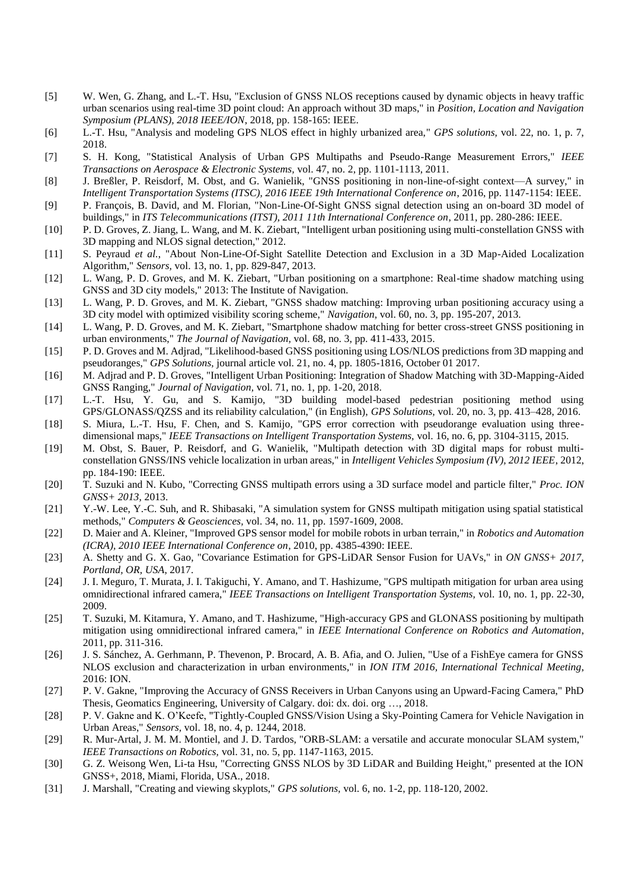- <span id="page-11-0"></span>[5] W. Wen, G. Zhang, and L.-T. Hsu, "Exclusion of GNSS NLOS receptions caused by dynamic objects in heavy traffic urban scenarios using real-time 3D point cloud: An approach without 3D maps," in *Position, Location and Navigation Symposium (PLANS), 2018 IEEE/ION*, 2018, pp. 158-165: IEEE.
- <span id="page-11-1"></span>[6] L.-T. Hsu, "Analysis and modeling GPS NLOS effect in highly urbanized area," *GPS solutions,* vol. 22, no. 1, p. 7, 2018.
- <span id="page-11-2"></span>[7] S. H. Kong, "Statistical Analysis of Urban GPS Multipaths and Pseudo-Range Measurement Errors," *IEEE Transactions on Aerospace & Electronic Systems,* vol. 47, no. 2, pp. 1101-1113, 2011.
- <span id="page-11-3"></span>[8] J. Breßler, P. Reisdorf, M. Obst, and G. Wanielik, "GNSS positioning in non-line-of-sight context—A survey," in *Intelligent Transportation Systems (ITSC), 2016 IEEE 19th International Conference on*, 2016, pp. 1147-1154: IEEE.
- <span id="page-11-4"></span>[9] P. François, B. David, and M. Florian, "Non-Line-Of-Sight GNSS signal detection using an on-board 3D model of buildings," in *ITS Telecommunications (ITST), 2011 11th International Conference on*, 2011, pp. 280-286: IEEE.
- [10] P. D. Groves, Z. Jiang, L. Wang, and M. K. Ziebart, "Intelligent urban positioning using multi-constellation GNSS with 3D mapping and NLOS signal detection," 2012.
- [11] S. Peyraud *et al.*, "About Non-Line-Of-Sight Satellite Detection and Exclusion in a 3D Map-Aided Localization Algorithm," *Sensors,* vol. 13, no. 1, pp. 829-847, 2013.
- <span id="page-11-5"></span>[12] L. Wang, P. D. Groves, and M. K. Ziebart, "Urban positioning on a smartphone: Real-time shadow matching using GNSS and 3D city models," 2013: The Institute of Navigation.
- [13] L. Wang, P. D. Groves, and M. K. Ziebart, "GNSS shadow matching: Improving urban positioning accuracy using a 3D city model with optimized visibility scoring scheme," *Navigation,* vol. 60, no. 3, pp. 195-207, 2013.
- [14] L. Wang, P. D. Groves, and M. K. Ziebart, "Smartphone shadow matching for better cross-street GNSS positioning in urban environments," *The Journal of Navigation,* vol. 68, no. 3, pp. 411-433, 2015.
- <span id="page-11-6"></span>[15] P. D. Groves and M. Adjrad, "Likelihood-based GNSS positioning using LOS/NLOS predictions from 3D mapping and pseudoranges," *GPS Solutions,* journal article vol. 21, no. 4, pp. 1805-1816, October 01 2017.
- <span id="page-11-7"></span>[16] M. Adjrad and P. D. Groves, "Intelligent Urban Positioning: Integration of Shadow Matching with 3D-Mapping-Aided GNSS Ranging," *Journal of Navigation,* vol. 71, no. 1, pp. 1-20, 2018.
- <span id="page-11-8"></span>[17] L.-T. Hsu, Y. Gu, and S. Kamijo, "3D building model-based pedestrian positioning method using GPS/GLONASS/QZSS and its reliability calculation," (in English), *GPS Solutions,* vol. 20, no. 3, pp. 413–428, 2016.
- [18] S. Miura, L.-T. Hsu, F. Chen, and S. Kamijo, "GPS error correction with pseudorange evaluation using threedimensional maps," *IEEE Transactions on Intelligent Transportation Systems,* vol. 16, no. 6, pp. 3104-3115, 2015.
- [19] M. Obst, S. Bauer, P. Reisdorf, and G. Wanielik, "Multipath detection with 3D digital maps for robust multiconstellation GNSS/INS vehicle localization in urban areas," in *Intelligent Vehicles Symposium (IV), 2012 IEEE*, 2012, pp. 184-190: IEEE.
- [20] T. Suzuki and N. Kubo, "Correcting GNSS multipath errors using a 3D surface model and particle filter," *Proc. ION GNSS+ 2013,* 2013.
- <span id="page-11-9"></span>[21] Y.-W. Lee, Y.-C. Suh, and R. Shibasaki, "A simulation system for GNSS multipath mitigation using spatial statistical methods," *Computers & Geosciences,* vol. 34, no. 11, pp. 1597-1609, 2008.
- <span id="page-11-10"></span>[22] D. Maier and A. Kleiner, "Improved GPS sensor model for mobile robots in urban terrain," in *Robotics and Automation (ICRA), 2010 IEEE International Conference on*, 2010, pp. 4385-4390: IEEE.
- <span id="page-11-11"></span>[23] A. Shetty and G. X. Gao, "Covariance Estimation for GPS-LiDAR Sensor Fusion for UAVs," in *ON GNSS+ 2017, Portland, OR, USA*, 2017.
- <span id="page-11-12"></span>[24] J. I. Meguro, T. Murata, J. I. Takiguchi, Y. Amano, and T. Hashizume, "GPS multipath mitigation for urban area using omnidirectional infrared camera," *IEEE Transactions on Intelligent Transportation Systems,* vol. 10, no. 1, pp. 22-30, 2009.
- [25] T. Suzuki, M. Kitamura, Y. Amano, and T. Hashizume, "High-accuracy GPS and GLONASS positioning by multipath mitigation using omnidirectional infrared camera," in *IEEE International Conference on Robotics and Automation*, 2011, pp. 311-316.
- [26] J. S. Sánchez, A. Gerhmann, P. Thevenon, P. Brocard, A. B. Afia, and O. Julien, "Use of a FishEye camera for GNSS NLOS exclusion and characterization in urban environments," in *ION ITM 2016, International Technical Meeting*, 2016: ION.
- <span id="page-11-13"></span>[27] P. V. Gakne, "Improving the Accuracy of GNSS Receivers in Urban Canyons using an Upward-Facing Camera," PhD Thesis, Geomatics Engineering, University of Calgary. doi: dx. doi. org …, 2018.
- <span id="page-11-14"></span>[28] P. V. Gakne and K. O'Keefe, "Tightly-Coupled GNSS/Vision Using a Sky-Pointing Camera for Vehicle Navigation in Urban Areas," *Sensors,* vol. 18, no. 4, p. 1244, 2018.
- <span id="page-11-15"></span>[29] R. Mur-Artal, J. M. M. Montiel, and J. D. Tardos, "ORB-SLAM: a versatile and accurate monocular SLAM system," *IEEE Transactions on Robotics,* vol. 31, no. 5, pp. 1147-1163, 2015.
- <span id="page-11-16"></span>[30] G. Z. Weisong Wen, Li-ta Hsu, "Correcting GNSS NLOS by 3D LiDAR and Building Height," presented at the ION GNSS+, 2018, Miami, Florida, USA., 2018.
- <span id="page-11-17"></span>[31] J. Marshall, "Creating and viewing skyplots," *GPS solutions,* vol. 6, no. 1-2, pp. 118-120, 2002.